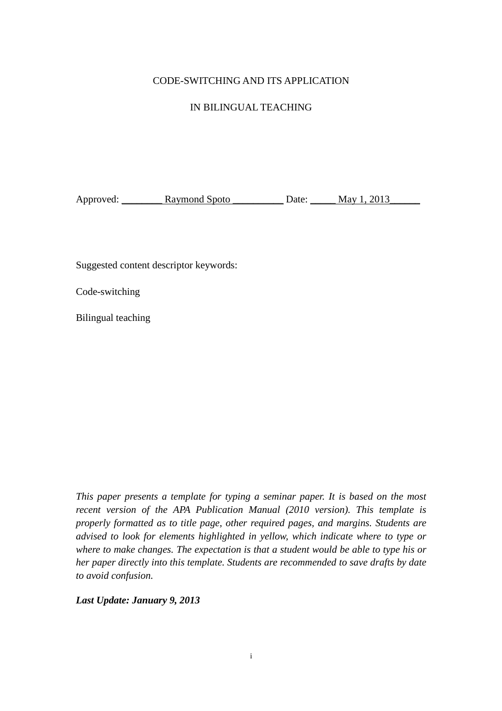# CODE-SWITCHING AND ITS APPLICATION

# IN BILINGUAL TEACHING

Approved: Raymond Spoto Date: May 1, 2013

Suggested content descriptor keywords:

Code-switching

Bilingual teaching

*This paper presents a template for typing a seminar paper. It is based on the most recent version of the APA Publication Manual (2010 version). This template is properly formatted as to title page, other required pages, and margins. Students are advised to look for elements highlighted in yellow, which indicate where to type or where to make changes. The expectation is that a student would be able to type his or her paper directly into this template. Students are recommended to save drafts by date to avoid confusion.* 

*Last Update: January 9, 2013*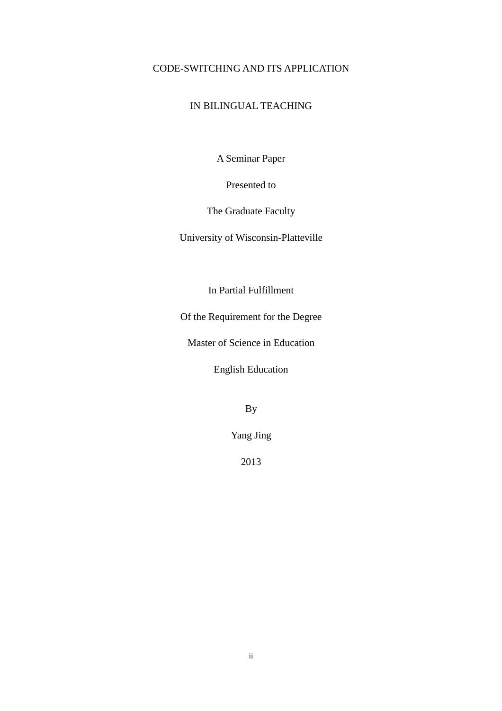# CODE-SWITCHING AND ITS APPLICATION

# IN BILINGUAL TEACHING

A Seminar Paper

Presented to

The Graduate Faculty

University of Wisconsin-Platteville

In Partial Fulfillment

Of the Requirement for the Degree

Master of Science in Education

English Education

By

Yang Jing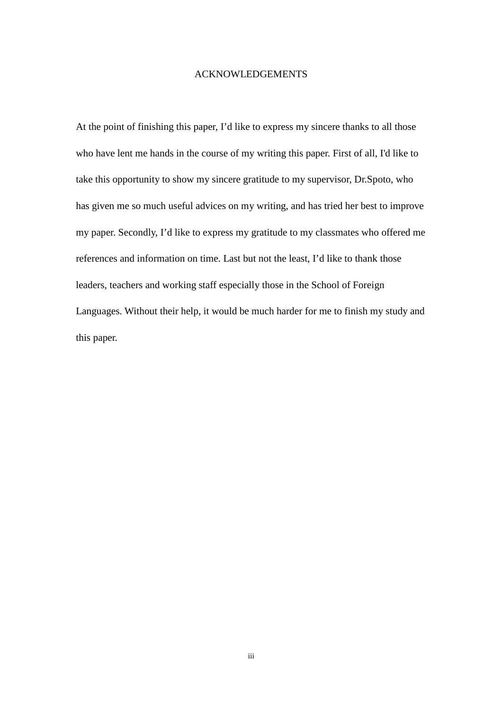#### ACKNOWLEDGEMENTS

At the point of finishing this paper, I'd like to express my sincere thanks to all those who have lent me hands in the course of my writing this paper. First of all, I'd like to take this opportunity to show my sincere gratitude to my supervisor, Dr.Spoto, who has given me so much useful advices on my writing, and has tried her best to improve my paper. Secondly, I'd like to express my gratitude to my classmates who offered me references and information on time. Last but not the least, I'd like to thank those leaders, teachers and working staff especially those in the School of Foreign Languages. Without their help, it would be much harder for me to finish my study and this paper.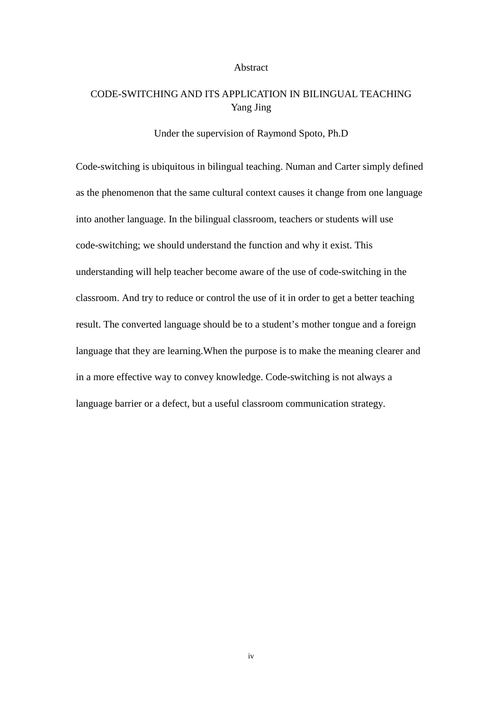#### Abstract

# CODE-SWITCHING AND ITS APPLICATION IN BILINGUAL TEACHING Yang Jing

#### Under the supervision of Raymond Spoto, Ph.D

Code-switching is ubiquitous in bilingual teaching. Numan and Carter simply defined as the phenomenon that the same cultural context causes it change from one language into another language. In the bilingual classroom, teachers or students will use code-switching; we should understand the function and why it exist. This understanding will help teacher become aware of the use of code-switching in the classroom. And try to reduce or control the use of it in order to get a better teaching result. The converted language should be to a student's mother tongue and a foreign language that they are learning.When the purpose is to make the meaning clearer and in a more effective way to convey knowledge. Code-switching is not always a language barrier or a defect, but a useful classroom communication strategy.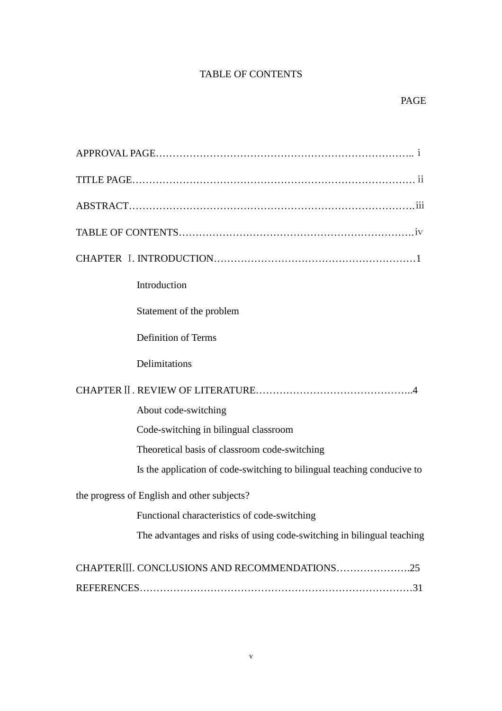# TABLE OF CONTENTS

| Introduction                                                            |
|-------------------------------------------------------------------------|
| Statement of the problem                                                |
| <b>Definition of Terms</b>                                              |
| Delimitations                                                           |
|                                                                         |
| About code-switching                                                    |
| Code-switching in bilingual classroom                                   |
| Theoretical basis of classroom code-switching                           |
| Is the application of code-switching to bilingual teaching conducive to |
| the progress of English and other subjects?                             |
| Functional characteristics of code-switching                            |
| The advantages and risks of using code-switching in bilingual teaching  |
| CHAPTERIII. CONCLUSIONS AND RECOMMENDATIONS25                           |
|                                                                         |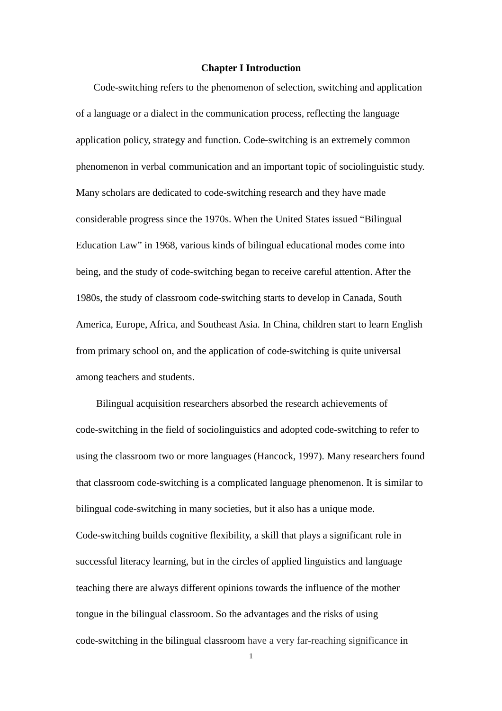#### **Chapter I Introduction**

 Code-switching refers to the phenomenon of selection, switching and application of a language or a dialect in the communication process, reflecting the language application policy, strategy and function. Code-switching is an extremely common phenomenon in verbal communication and an important topic of sociolinguistic study. Many scholars are dedicated to code-switching research and they have made considerable progress since the 1970s. When the United States issued "Bilingual Education Law" in 1968, various kinds of bilingual educational modes come into being, and the study of code-switching began to receive careful attention. After the 1980s, the study of classroom code-switching starts to develop in Canada, South America, Europe, Africa, and Southeast Asia. In China, children start to learn English from primary school on, and the application of code-switching is quite universal among teachers and students.

Bilingual acquisition researchers absorbed the research achievements of code-switching in the field of sociolinguistics and adopted code-switching to refer to using the classroom two or more languages (Hancock, 1997). Many researchers found that classroom code-switching is a complicated language phenomenon. It is similar to bilingual code-switching in many societies, but it also has a unique mode. Code-switching builds cognitive flexibility, a skill that plays a significant role in successful literacy learning, but in the circles of applied linguistics and language teaching there are always different opinions towards the influence of the mother tongue in the bilingual classroom. So the advantages and the risks of using code-switching in the bilingual classroom have a very far-reaching significance in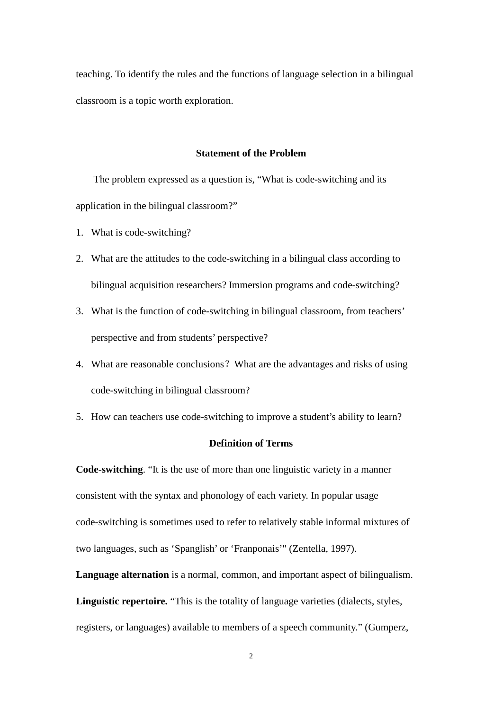teaching. To identify the rules and the functions of language selection in a bilingual classroom is a topic worth exploration.

#### **Statement of the Problem**

 The problem expressed as a question is, "What is code-switching and its application in the bilingual classroom?"

- 1. What is code-switching?
- 2. What are the attitudes to the code-switching in a bilingual class according to bilingual acquisition researchers? Immersion programs and code-switching?
- 3. What is the function of code-switching in bilingual classroom, from teachers' perspective and from students' perspective?
- 4. What are reasonable conclusions?What are the advantages and risks of using code-switching in bilingual classroom?
- 5. How can teachers use code-switching to improve a student's ability to learn?

#### **Definition of Terms**

**Code-switching**. "It is the use of more than one linguistic variety in a manner consistent with the syntax and phonology of each variety. In popular usage code-switching is sometimes used to refer to relatively stable informal mixtures of two languages, such as 'Spanglish' or 'Franponais'" (Zentella, 1997).

**Language alternation** is a normal, common, and important aspect of bilingualism.

**Linguistic repertoire.** "This is the totality of language varieties (dialects, styles, registers, or languages) available to members of a speech community." (Gumperz,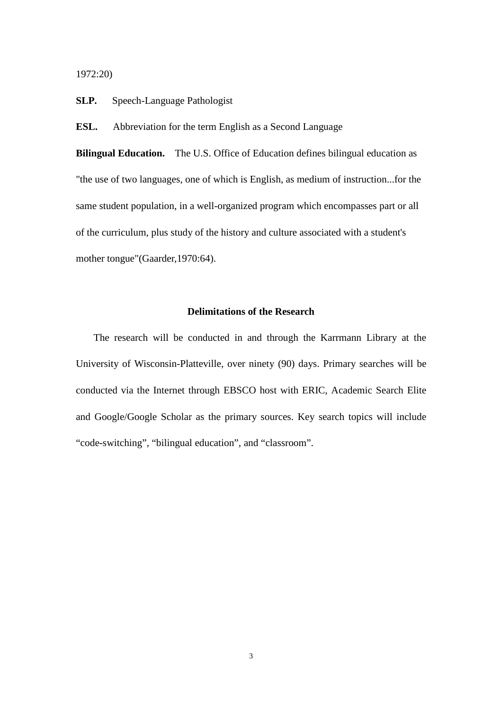1972:20)

**SLP.** Speech-Language Pathologist

**ESL.** Abbreviation for the term English as a Second Language

**Bilingual Education.** The U.S. Office of Education defines bilingual education as "the use of two languages, one of which is English, as medium of instruction...for the same student population, in a well-organized program which encompasses part or all of the curriculum, plus study of the history and culture associated with a student's mother tongue"(Gaarder,1970:64).

#### **Delimitations of the Research**

 The research will be conducted in and through the Karrmann Library at the University of Wisconsin-Platteville, over ninety (90) days. Primary searches will be conducted via the Internet through EBSCO host with ERIC, Academic Search Elite and Google/Google Scholar as the primary sources. Key search topics will include "code-switching", "bilingual education", and "classroom".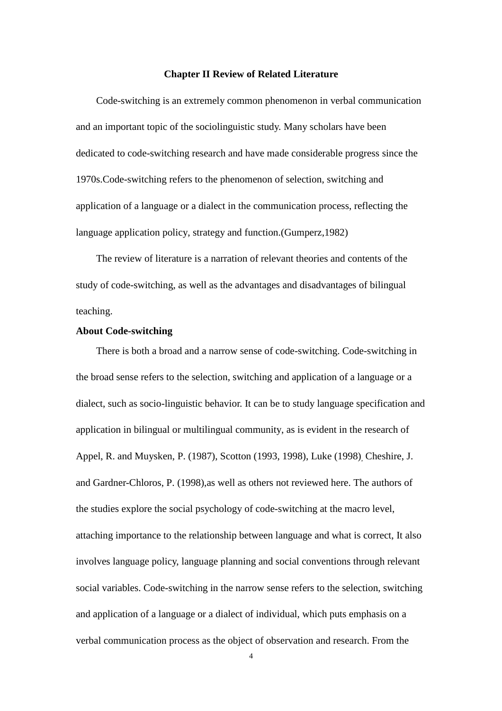#### **Chapter II Review of Related Literature**

Code-switching is an extremely common phenomenon in verbal communication and an important topic of the sociolinguistic study. Many scholars have been dedicated to code-switching research and have made considerable progress since the 1970s.Code-switching refers to the phenomenon of selection, switching and application of a language or a dialect in the communication process, reflecting the language application policy, strategy and function.(Gumperz,1982)

The review of literature is a narration of relevant theories and contents of the study of code-switching, as well as the advantages and disadvantages of bilingual teaching.

#### **About Code-switching**

There is both a broad and a narrow sense of code-switching. Code-switching in the broad sense refers to the selection, switching and application of a language or a dialect, such as socio-linguistic behavior. It can be to study language specification and application in bilingual or multilingual community, as is evident in the research of Appel, R. and Muysken, P. (1987), Scotton (1993, 1998), Luke (1998), Cheshire, J. and Gardner-Chloros, P. (1998),as well as others not reviewed here. The authors of the studies explore the social psychology of code-switching at the macro level, attaching importance to the relationship between language and what is correct, It also involves language policy, language planning and social conventions through relevant social variables. Code-switching in the narrow sense refers to the selection, switching and application of a language or a dialect of individual, which puts emphasis on a verbal communication process as the object of observation and research. From the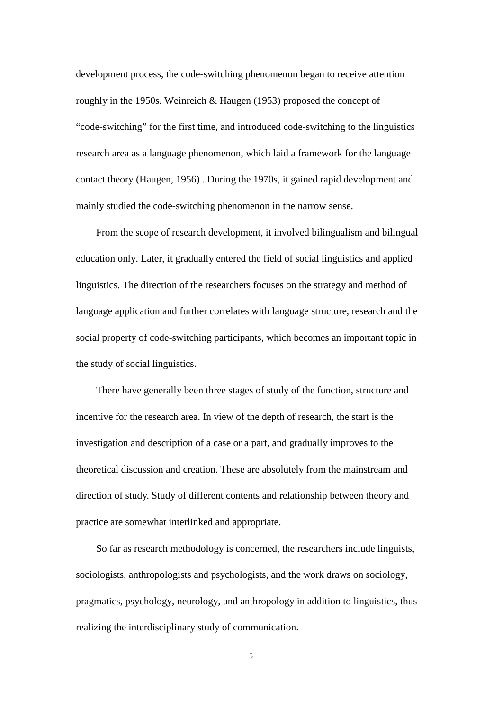development process, the code-switching phenomenon began to receive attention roughly in the 1950s. Weinreich & Haugen (1953) proposed the concept of "code-switching" for the first time, and introduced code-switching to the linguistics research area as a language phenomenon, which laid a framework for the language contact theory (Haugen, 1956) . During the 1970s, it gained rapid development and mainly studied the code-switching phenomenon in the narrow sense.

From the scope of research development, it involved bilingualism and bilingual education only. Later, it gradually entered the field of social linguistics and applied linguistics. The direction of the researchers focuses on the strategy and method of language application and further correlates with language structure, research and the social property of code-switching participants, which becomes an important topic in the study of social linguistics.

There have generally been three stages of study of the function, structure and incentive for the research area. In view of the depth of research, the start is the investigation and description of a case or a part, and gradually improves to the theoretical discussion and creation. These are absolutely from the mainstream and direction of study. Study of different contents and relationship between theory and practice are somewhat interlinked and appropriate.

So far as research methodology is concerned, the researchers include linguists, sociologists, anthropologists and psychologists, and the work draws on sociology, pragmatics, psychology, neurology, and anthropology in addition to linguistics, thus realizing the interdisciplinary study of communication.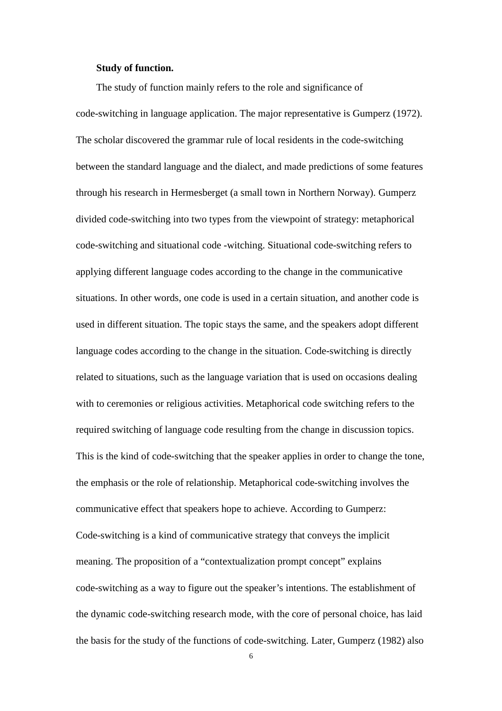#### **Study of function.**

The study of function mainly refers to the role and significance of code-switching in language application. The major representative is Gumperz (1972). The scholar discovered the grammar rule of local residents in the code-switching between the standard language and the dialect, and made predictions of some features through his research in Hermesberget (a small town in Northern Norway). Gumperz divided code-switching into two types from the viewpoint of strategy: metaphorical code-switching and situational code -witching. Situational code-switching refers to applying different language codes according to the change in the communicative situations. In other words, one code is used in a certain situation, and another code is used in different situation. The topic stays the same, and the speakers adopt different language codes according to the change in the situation. Code-switching is directly related to situations, such as the language variation that is used on occasions dealing with to ceremonies or religious activities. Metaphorical code switching refers to the required switching of language code resulting from the change in discussion topics. This is the kind of code-switching that the speaker applies in order to change the tone, the emphasis or the role of relationship. Metaphorical code-switching involves the communicative effect that speakers hope to achieve. According to Gumperz: Code-switching is a kind of communicative strategy that conveys the implicit meaning. The proposition of a "contextualization prompt concept" explains code-switching as a way to figure out the speaker's intentions. The establishment of the dynamic code-switching research mode, with the core of personal choice, has laid the basis for the study of the functions of code-switching. Later, Gumperz (1982) also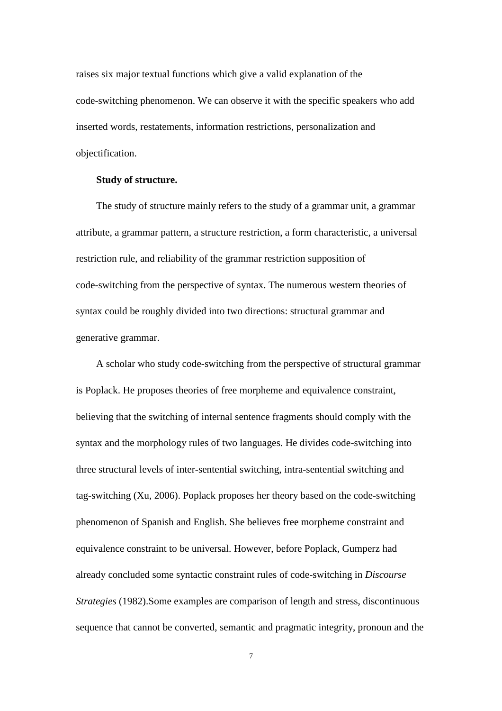raises six major textual functions which give a valid explanation of the code-switching phenomenon. We can observe it with the specific speakers who add inserted words, restatements, information restrictions, personalization and objectification.

#### **Study of structure.**

The study of structure mainly refers to the study of a grammar unit, a grammar attribute, a grammar pattern, a structure restriction, a form characteristic, a universal restriction rule, and reliability of the grammar restriction supposition of code-switching from the perspective of syntax. The numerous western theories of syntax could be roughly divided into two directions: structural grammar and generative grammar.

A scholar who study code-switching from the perspective of structural grammar is Poplack. He proposes theories of free morpheme and equivalence constraint, believing that the switching of internal sentence fragments should comply with the syntax and the morphology rules of two languages. He divides code-switching into three structural levels of inter-sentential switching, intra-sentential switching and tag-switching (Xu, 2006). Poplack proposes her theory based on the code-switching phenomenon of Spanish and English. She believes free morpheme constraint and equivalence constraint to be universal. However, before Poplack, Gumperz had already concluded some syntactic constraint rules of code-switching in *Discourse Strategies* (1982).Some examples are comparison of length and stress, discontinuous sequence that cannot be converted, semantic and pragmatic integrity, pronoun and the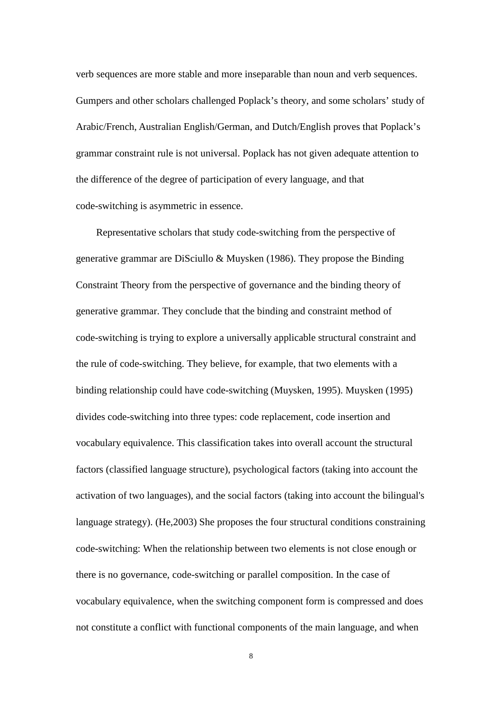verb sequences are more stable and more inseparable than noun and verb sequences. Gumpers and other scholars challenged Poplack's theory, and some scholars' study of Arabic/French, Australian English/German, and Dutch/English proves that Poplack's grammar constraint rule is not universal. Poplack has not given adequate attention to the difference of the degree of participation of every language, and that code-switching is asymmetric in essence.

Representative scholars that study code-switching from the perspective of generative grammar are DiSciullo & Muysken (1986). They propose the Binding Constraint Theory from the perspective of governance and the binding theory of generative grammar. They conclude that the binding and constraint method of code-switching is trying to explore a universally applicable structural constraint and the rule of code-switching. They believe, for example, that two elements with a binding relationship could have code-switching (Muysken, 1995). Muysken (1995) divides code-switching into three types: code replacement, code insertion and vocabulary equivalence. This classification takes into overall account the structural factors (classified language structure), psychological factors (taking into account the activation of two languages), and the social factors (taking into account the bilingual's language strategy). (He,2003) She proposes the four structural conditions constraining code-switching: When the relationship between two elements is not close enough or there is no governance, code-switching or parallel composition. In the case of vocabulary equivalence, when the switching component form is compressed and does not constitute a conflict with functional components of the main language, and when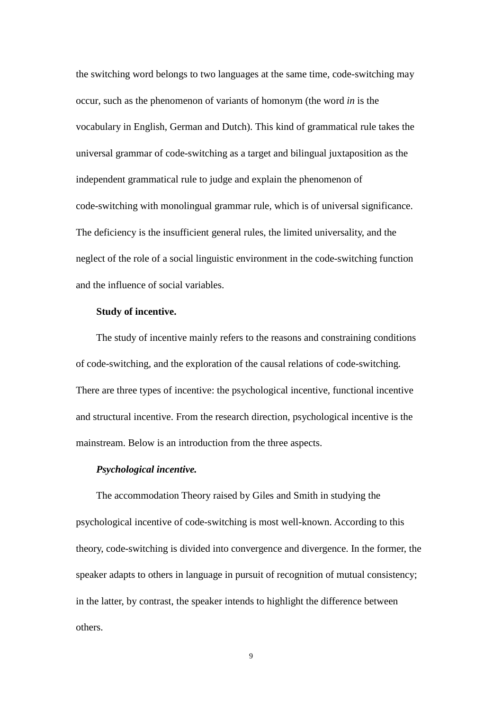the switching word belongs to two languages at the same time, code-switching may occur, such as the phenomenon of variants of homonym (the word *in* is the vocabulary in English, German and Dutch). This kind of grammatical rule takes the universal grammar of code-switching as a target and bilingual juxtaposition as the independent grammatical rule to judge and explain the phenomenon of code-switching with monolingual grammar rule, which is of universal significance. The deficiency is the insufficient general rules, the limited universality, and the neglect of the role of a social linguistic environment in the code-switching function and the influence of social variables.

#### **Study of incentive.**

The study of incentive mainly refers to the reasons and constraining conditions of code-switching, and the exploration of the causal relations of code-switching. There are three types of incentive: the psychological incentive, functional incentive and structural incentive. From the research direction, psychological incentive is the mainstream. Below is an introduction from the three aspects.

#### *Psychological incentive.*

The accommodation Theory raised by Giles and Smith in studying the psychological incentive of code-switching is most well-known. According to this theory, code-switching is divided into convergence and divergence. In the former, the speaker adapts to others in language in pursuit of recognition of mutual consistency; in the latter, by contrast, the speaker intends to highlight the difference between others.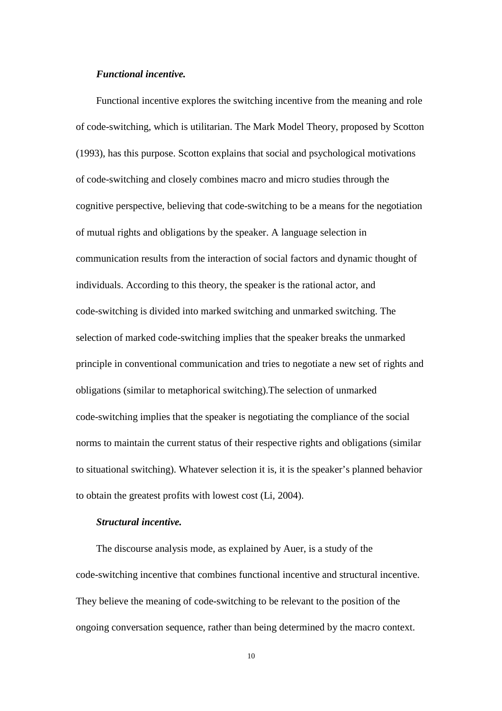#### *Functional incentive.*

Functional incentive explores the switching incentive from the meaning and role of code-switching, which is utilitarian. The Mark Model Theory, proposed by Scotton (1993), has this purpose. Scotton explains that social and psychological motivations of code-switching and closely combines macro and micro studies through the cognitive perspective, believing that code-switching to be a means for the negotiation of mutual rights and obligations by the speaker. A language selection in communication results from the interaction of social factors and dynamic thought of individuals. According to this theory, the speaker is the rational actor, and code-switching is divided into marked switching and unmarked switching. The selection of marked code-switching implies that the speaker breaks the unmarked principle in conventional communication and tries to negotiate a new set of rights and obligations (similar to metaphorical switching).The selection of unmarked code-switching implies that the speaker is negotiating the compliance of the social norms to maintain the current status of their respective rights and obligations (similar to situational switching). Whatever selection it is, it is the speaker's planned behavior to obtain the greatest profits with lowest cost (Li, 2004).

# *Structural incentive.*

The discourse analysis mode, as explained by Auer, is a study of the code-switching incentive that combines functional incentive and structural incentive. They believe the meaning of code-switching to be relevant to the position of the ongoing conversation sequence, rather than being determined by the macro context.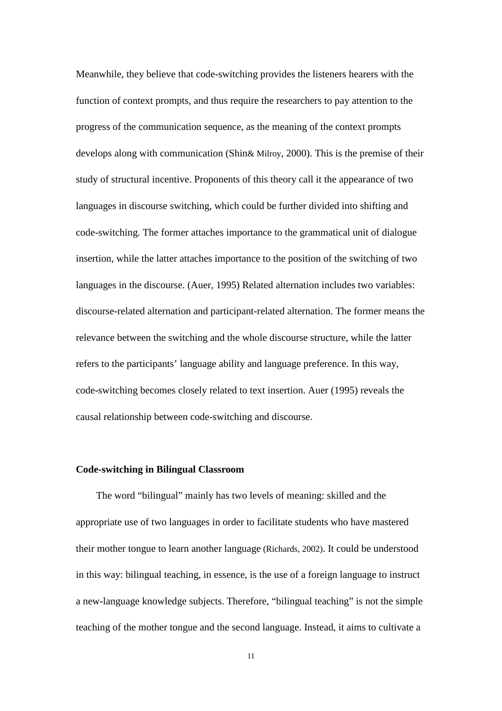Meanwhile, they believe that code-switching provides the listeners hearers with the function of context prompts, and thus require the researchers to pay attention to the progress of the communication sequence, as the meaning of the context prompts develops along with communication (Shin& Milroy, 2000). This is the premise of their study of structural incentive. Proponents of this theory call it the appearance of two languages in discourse switching, which could be further divided into shifting and code-switching. The former attaches importance to the grammatical unit of dialogue insertion, while the latter attaches importance to the position of the switching of two languages in the discourse. (Auer, 1995) Related alternation includes two variables: discourse-related alternation and participant-related alternation. The former means the relevance between the switching and the whole discourse structure, while the latter refers to the participants' language ability and language preference. In this way, code-switching becomes closely related to text insertion. Auer (1995) reveals the causal relationship between code-switching and discourse.

#### **Code-switching in Bilingual Classroom**

The word "bilingual" mainly has two levels of meaning: skilled and the appropriate use of two languages in order to facilitate students who have mastered their mother tongue to learn another language (Richards, 2002). It could be understood in this way: bilingual teaching, in essence, is the use of a foreign language to instruct a new-language knowledge subjects. Therefore, "bilingual teaching" is not the simple teaching of the mother tongue and the second language. Instead, it aims to cultivate a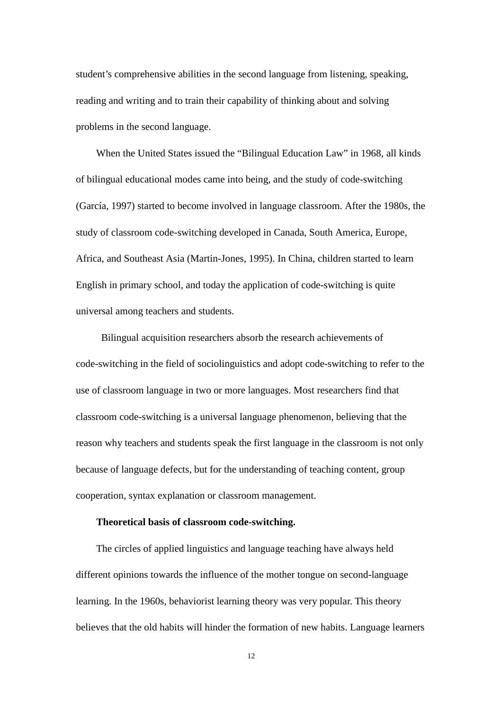student's comprehensive abilities in the second language from listening, speaking, reading and writing and to train their capability of thinking about and solving problems in the second language.

When the United States issued the "Bilingual Education Law" in 1968, all kinds of bilingual educational modes came into being, and the study of code-switching (García, 1997) started to become involved in language classroom. After the 1980s, the study of classroom code-switching developed in Canada, South America, Europe, Africa, and Southeast Asia (Martin-Jones, 1995). In China, children started to learn English in primary school, and today the application of code-switching is quite universal among teachers and students.

 Bilingual acquisition researchers absorb the research achievements of code-switching in the field of sociolinguistics and adopt code-switching to refer to the use of classroom language in two or more languages. Most researchers find that classroom code-switching is a universal language phenomenon, believing that the reason why teachers and students speak the first language in the classroom is not only because of language defects, but for the understanding of teaching content, group cooperation, syntax explanation or classroom management.

## **Theoretical basis of classroom code-switching.**

The circles of applied linguistics and language teaching have always held different opinions towards the influence of the mother tongue on second-language learning. In the 1960s, behaviorist learning theory was very popular. This theory believes that the old habits will hinder the formation of new habits. Language learners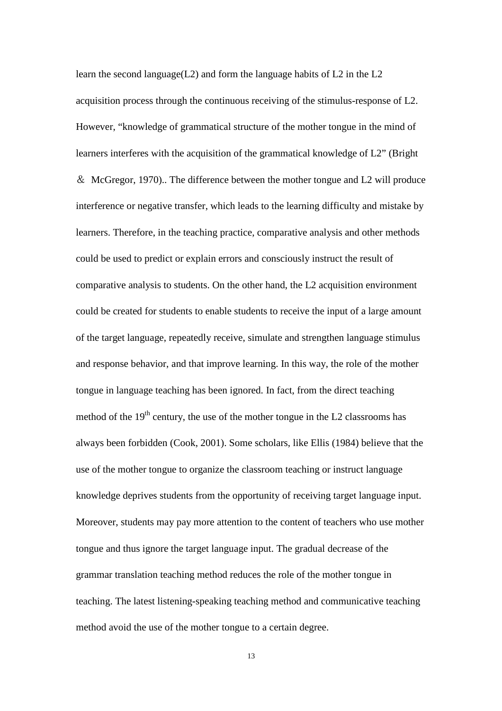learn the second language(L2) and form the language habits of L2 in the L2 acquisition process through the continuous receiving of the stimulus-response of L2. However, "knowledge of grammatical structure of the mother tongue in the mind of learners interferes with the acquisition of the grammatical knowledge of L2" (Bright & McGregor, 1970).. The difference between the mother tongue and L2 will produce interference or negative transfer, which leads to the learning difficulty and mistake by learners. Therefore, in the teaching practice, comparative analysis and other methods could be used to predict or explain errors and consciously instruct the result of comparative analysis to students. On the other hand, the L2 acquisition environment could be created for students to enable students to receive the input of a large amount of the target language, repeatedly receive, simulate and strengthen language stimulus and response behavior, and that improve learning. In this way, the role of the mother tongue in language teaching has been ignored. In fact, from the direct teaching method of the  $19<sup>th</sup>$  century, the use of the mother tongue in the L2 classrooms has always been forbidden (Cook, 2001). Some scholars, like Ellis (1984) believe that the use of the mother tongue to organize the classroom teaching or instruct language knowledge deprives students from the opportunity of receiving target language input. Moreover, students may pay more attention to the content of teachers who use mother tongue and thus ignore the target language input. The gradual decrease of the grammar translation teaching method reduces the role of the mother tongue in teaching. The latest listening-speaking teaching method and communicative teaching method avoid the use of the mother tongue to a certain degree.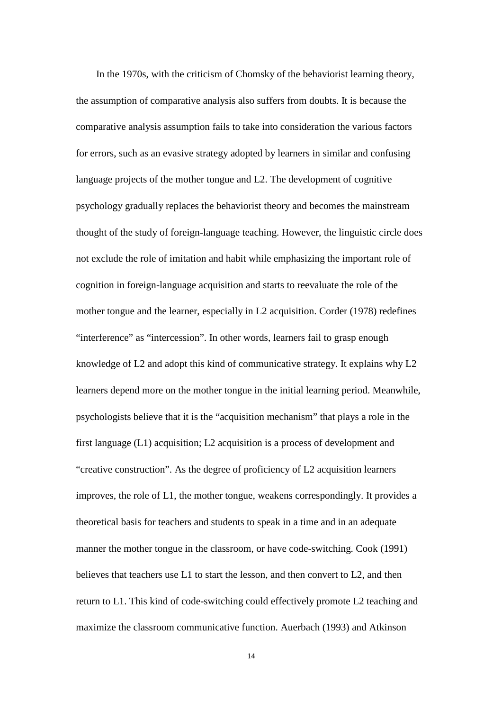In the 1970s, with the criticism of Chomsky of the behaviorist learning theory, the assumption of comparative analysis also suffers from doubts. It is because the comparative analysis assumption fails to take into consideration the various factors for errors, such as an evasive strategy adopted by learners in similar and confusing language projects of the mother tongue and L2. The development of cognitive psychology gradually replaces the behaviorist theory and becomes the mainstream thought of the study of foreign-language teaching. However, the linguistic circle does not exclude the role of imitation and habit while emphasizing the important role of cognition in foreign-language acquisition and starts to reevaluate the role of the mother tongue and the learner, especially in L2 acquisition. Corder (1978) redefines "interference" as "intercession". In other words, learners fail to grasp enough knowledge of L2 and adopt this kind of communicative strategy. It explains why L2 learners depend more on the mother tongue in the initial learning period. Meanwhile, psychologists believe that it is the "acquisition mechanism" that plays a role in the first language (L1) acquisition; L2 acquisition is a process of development and "creative construction". As the degree of proficiency of L2 acquisition learners improves, the role of L1, the mother tongue, weakens correspondingly. It provides a theoretical basis for teachers and students to speak in a time and in an adequate manner the mother tongue in the classroom, or have code-switching. Cook (1991) believes that teachers use L1 to start the lesson, and then convert to L2, and then return to L1. This kind of code-switching could effectively promote L2 teaching and maximize the classroom communicative function. Auerbach (1993) and Atkinson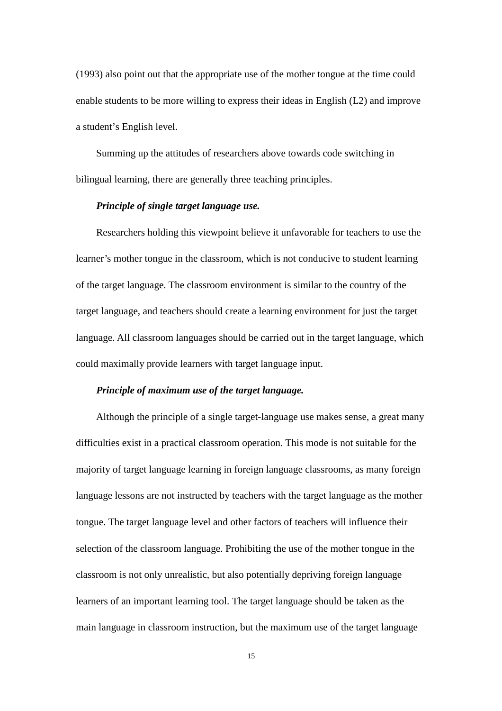(1993) also point out that the appropriate use of the mother tongue at the time could enable students to be more willing to express their ideas in English (L2) and improve a student's English level.

Summing up the attitudes of researchers above towards code switching in bilingual learning, there are generally three teaching principles.

#### *Principle of single target language use.*

Researchers holding this viewpoint believe it unfavorable for teachers to use the learner's mother tongue in the classroom, which is not conducive to student learning of the target language. The classroom environment is similar to the country of the target language, and teachers should create a learning environment for just the target language. All classroom languages should be carried out in the target language, which could maximally provide learners with target language input.

#### *Principle of maximum use of the target language.*

Although the principle of a single target-language use makes sense, a great many difficulties exist in a practical classroom operation. This mode is not suitable for the majority of target language learning in foreign language classrooms, as many foreign language lessons are not instructed by teachers with the target language as the mother tongue. The target language level and other factors of teachers will influence their selection of the classroom language. Prohibiting the use of the mother tongue in the classroom is not only unrealistic, but also potentially depriving foreign language learners of an important learning tool. The target language should be taken as the main language in classroom instruction, but the maximum use of the target language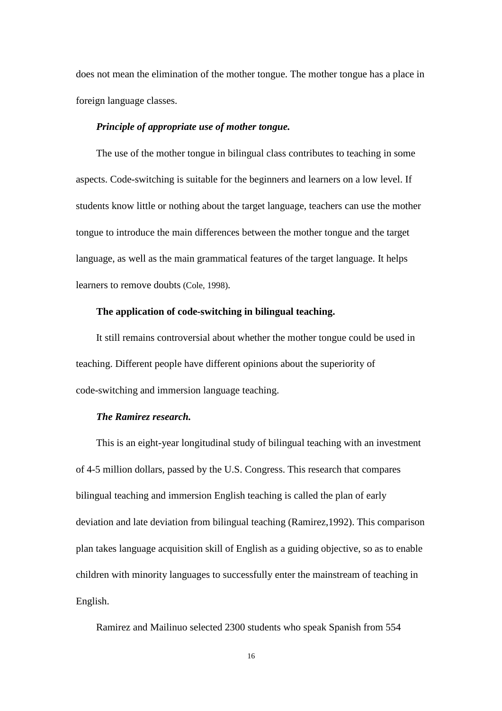does not mean the elimination of the mother tongue. The mother tongue has a place in foreign language classes.

## *Principle of appropriate use of mother tongue.*

The use of the mother tongue in bilingual class contributes to teaching in some aspects. Code-switching is suitable for the beginners and learners on a low level. If students know little or nothing about the target language, teachers can use the mother tongue to introduce the main differences between the mother tongue and the target language, as well as the main grammatical features of the target language. It helps learners to remove doubts (Cole, 1998).

# **The application of code-switching in bilingual teaching.**

It still remains controversial about whether the mother tongue could be used in teaching. Different people have different opinions about the superiority of code-switching and immersion language teaching.

#### *The Ramirez research.*

This is an eight-year longitudinal study of bilingual teaching with an investment of 4-5 million dollars, passed by the U.S. Congress. This research that compares bilingual teaching and immersion English teaching is called the plan of early deviation and late deviation from bilingual teaching (Ramirez,1992). This comparison plan takes language acquisition skill of English as a guiding objective, so as to enable children with minority languages to successfully enter the mainstream of teaching in English.

Ramirez and Mailinuo selected 2300 students who speak Spanish from 554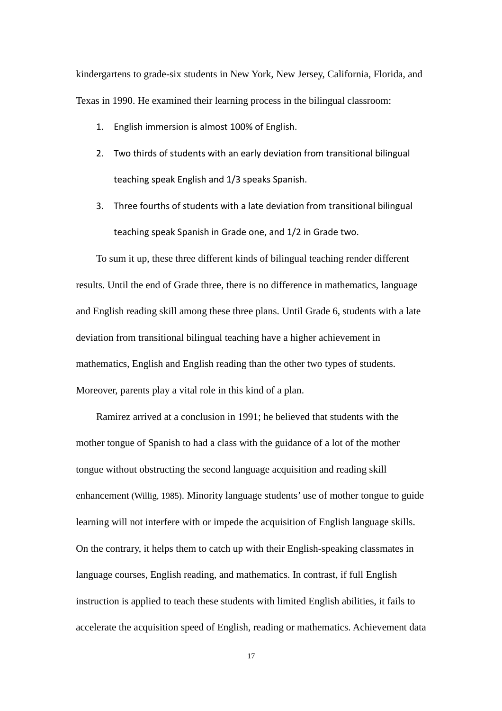kindergartens to grade-six students in New York, New Jersey, California, Florida, and Texas in 1990. He examined their learning process in the bilingual classroom:

- 1. English immersion is almost 100% of English.
- 2. Two thirds of students with an early deviation from transitional bilingual teaching speak English and 1/3 speaks Spanish.
- 3. Three fourths of students with a late deviation from transitional bilingual teaching speak Spanish in Grade one, and 1/2 in Grade two.

To sum it up, these three different kinds of bilingual teaching render different results. Until the end of Grade three, there is no difference in mathematics, language and English reading skill among these three plans. Until Grade 6, students with a late deviation from transitional bilingual teaching have a higher achievement in mathematics, English and English reading than the other two types of students. Moreover, parents play a vital role in this kind of a plan.

Ramirez arrived at a conclusion in 1991; he believed that students with the mother tongue of Spanish to had a class with the guidance of a lot of the mother tongue without obstructing the second language acquisition and reading skill enhancement (Willig, 1985). Minority language students' use of mother tongue to guide learning will not interfere with or impede the acquisition of English language skills. On the contrary, it helps them to catch up with their English-speaking classmates in language courses, English reading, and mathematics. In contrast, if full English instruction is applied to teach these students with limited English abilities, it fails to accelerate the acquisition speed of English, reading or mathematics. Achievement data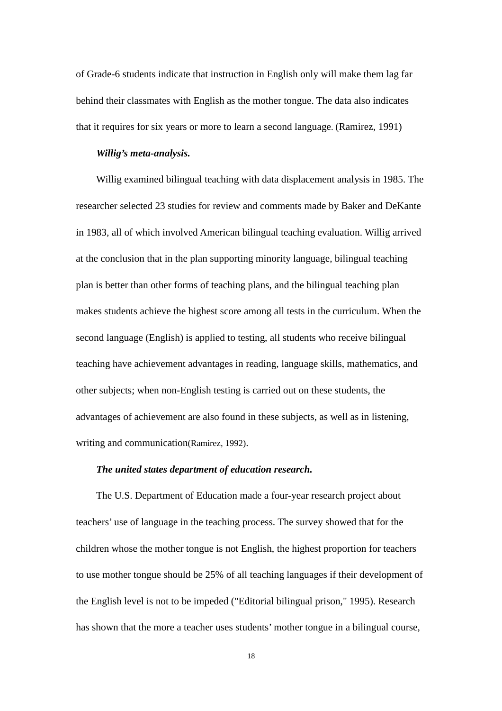of Grade-6 students indicate that instruction in English only will make them lag far behind their classmates with English as the mother tongue. The data also indicates that it requires for six years or more to learn a second language. (Ramirez, 1991)

#### *Willig's meta-analysis.*

Willig examined bilingual teaching with data displacement analysis in 1985. The researcher selected 23 studies for review and comments made by Baker and DeKante in 1983, all of which involved American bilingual teaching evaluation. Willig arrived at the conclusion that in the plan supporting minority language, bilingual teaching plan is better than other forms of teaching plans, and the bilingual teaching plan makes students achieve the highest score among all tests in the curriculum. When the second language (English) is applied to testing, all students who receive bilingual teaching have achievement advantages in reading, language skills, mathematics, and other subjects; when non-English testing is carried out on these students, the advantages of achievement are also found in these subjects, as well as in listening, writing and communication(Ramirez, 1992).

#### *The united states department of education research.*

The U.S. Department of Education made a four-year research project about teachers' use of language in the teaching process. The survey showed that for the children whose the mother tongue is not English, the highest proportion for teachers to use mother tongue should be 25% of all teaching languages if their development of the English level is not to be impeded ("Editorial bilingual prison," 1995). Research has shown that the more a teacher uses students' mother tongue in a bilingual course,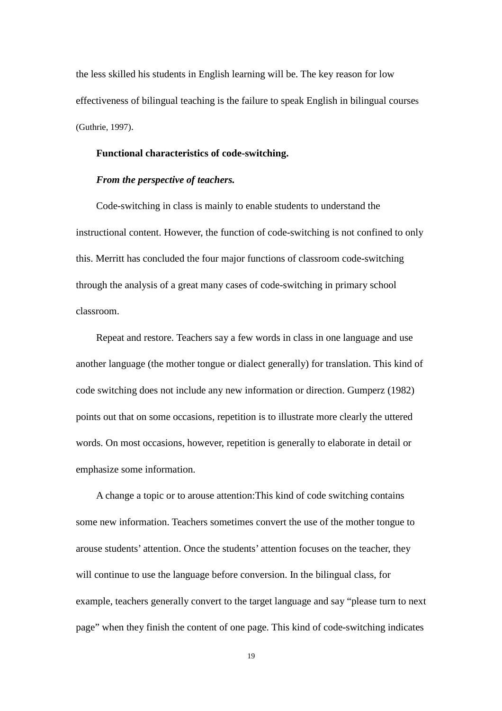the less skilled his students in English learning will be. The key reason for low effectiveness of bilingual teaching is the failure to speak English in bilingual courses (Guthrie, 1997).

#### **Functional characteristics of code-switching.**

#### *From the perspective of teachers.*

Code-switching in class is mainly to enable students to understand the instructional content. However, the function of code-switching is not confined to only this. Merritt has concluded the four major functions of classroom code-switching through the analysis of a great many cases of code-switching in primary school classroom.

Repeat and restore. Teachers say a few words in class in one language and use another language (the mother tongue or dialect generally) for translation. This kind of code switching does not include any new information or direction. Gumperz (1982) points out that on some occasions, repetition is to illustrate more clearly the uttered words. On most occasions, however, repetition is generally to elaborate in detail or emphasize some information.

A change a topic or to arouse attention:This kind of code switching contains some new information. Teachers sometimes convert the use of the mother tongue to arouse students' attention. Once the students' attention focuses on the teacher, they will continue to use the language before conversion. In the bilingual class, for example, teachers generally convert to the target language and say "please turn to next page" when they finish the content of one page. This kind of code-switching indicates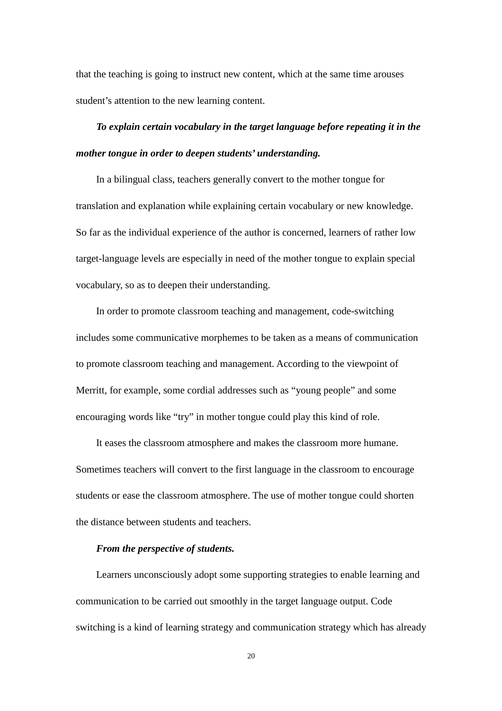that the teaching is going to instruct new content, which at the same time arouses student's attention to the new learning content.

# *To explain certain vocabulary in the target language before repeating it in the mother tongue in order to deepen students' understanding.*

In a bilingual class, teachers generally convert to the mother tongue for translation and explanation while explaining certain vocabulary or new knowledge. So far as the individual experience of the author is concerned, learners of rather low target-language levels are especially in need of the mother tongue to explain special vocabulary, so as to deepen their understanding.

In order to promote classroom teaching and management, code-switching includes some communicative morphemes to be taken as a means of communication to promote classroom teaching and management. According to the viewpoint of Merritt, for example, some cordial addresses such as "young people" and some encouraging words like "try" in mother tongue could play this kind of role.

It eases the classroom atmosphere and makes the classroom more humane. Sometimes teachers will convert to the first language in the classroom to encourage students or ease the classroom atmosphere. The use of mother tongue could shorten the distance between students and teachers.

#### *From the perspective of students.*

Learners unconsciously adopt some supporting strategies to enable learning and communication to be carried out smoothly in the target language output. Code switching is a kind of learning strategy and communication strategy which has already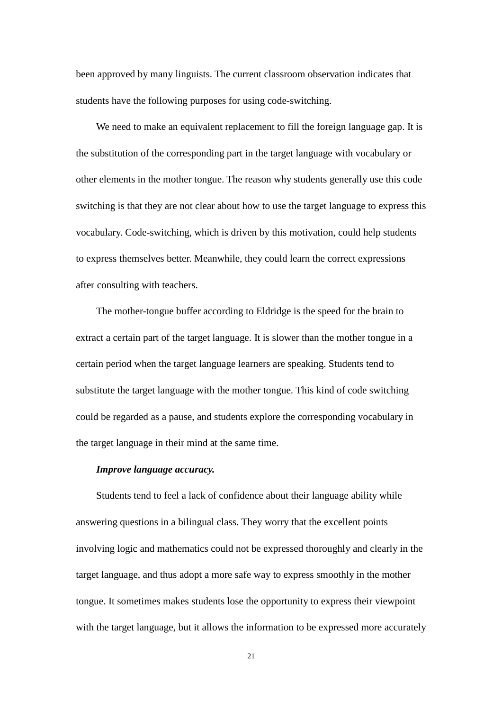been approved by many linguists. The current classroom observation indicates that students have the following purposes for using code-switching.

We need to make an equivalent replacement to fill the foreign language gap. It is the substitution of the corresponding part in the target language with vocabulary or other elements in the mother tongue. The reason why students generally use this code switching is that they are not clear about how to use the target language to express this vocabulary. Code-switching, which is driven by this motivation, could help students to express themselves better. Meanwhile, they could learn the correct expressions after consulting with teachers.

The mother-tongue buffer according to Eldridge is the speed for the brain to extract a certain part of the target language. It is slower than the mother tongue in a certain period when the target language learners are speaking. Students tend to substitute the target language with the mother tongue. This kind of code switching could be regarded as a pause, and students explore the corresponding vocabulary in the target language in their mind at the same time.

#### *Improve language accuracy.*

Students tend to feel a lack of confidence about their language ability while answering questions in a bilingual class. They worry that the excellent points involving logic and mathematics could not be expressed thoroughly and clearly in the target language, and thus adopt a more safe way to express smoothly in the mother tongue. It sometimes makes students lose the opportunity to express their viewpoint with the target language, but it allows the information to be expressed more accurately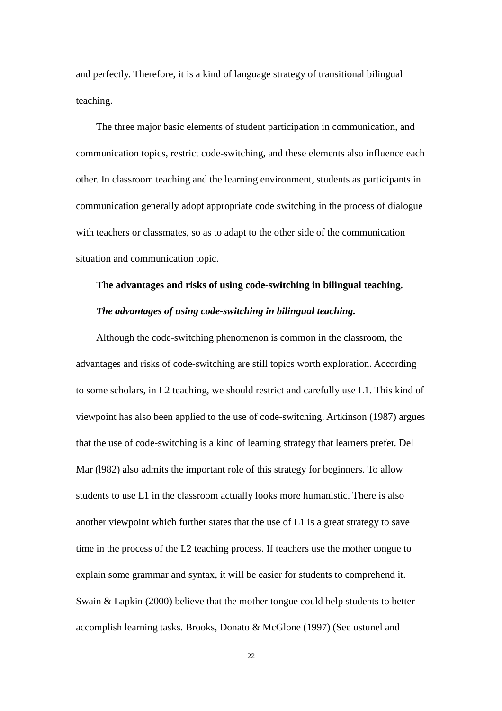and perfectly. Therefore, it is a kind of language strategy of transitional bilingual teaching.

The three major basic elements of student participation in communication, and communication topics, restrict code-switching, and these elements also influence each other. In classroom teaching and the learning environment, students as participants in communication generally adopt appropriate code switching in the process of dialogue with teachers or classmates, so as to adapt to the other side of the communication situation and communication topic.

# **The advantages and risks of using code-switching in bilingual teaching.**

#### *The advantages of using code-switching in bilingual teaching.*

Although the code-switching phenomenon is common in the classroom, the advantages and risks of code-switching are still topics worth exploration. According to some scholars, in L2 teaching, we should restrict and carefully use L1. This kind of viewpoint has also been applied to the use of code-switching. Artkinson (1987) argues that the use of code-switching is a kind of learning strategy that learners prefer. Del Mar (l982) also admits the important role of this strategy for beginners. To allow students to use L1 in the classroom actually looks more humanistic. There is also another viewpoint which further states that the use of L1 is a great strategy to save time in the process of the L2 teaching process. If teachers use the mother tongue to explain some grammar and syntax, it will be easier for students to comprehend it. Swain & Lapkin (2000) believe that the mother tongue could help students to better accomplish learning tasks. Brooks, Donato & McGlone (1997) (See ustunel and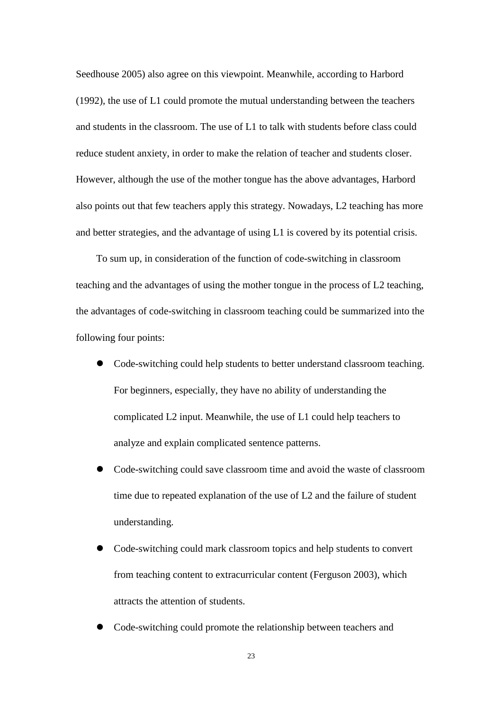Seedhouse 2005) also agree on this viewpoint. Meanwhile, according to Harbord (1992), the use of L1 could promote the mutual understanding between the teachers and students in the classroom. The use of L1 to talk with students before class could reduce student anxiety, in order to make the relation of teacher and students closer. However, although the use of the mother tongue has the above advantages, Harbord also points out that few teachers apply this strategy. Nowadays, L2 teaching has more and better strategies, and the advantage of using L1 is covered by its potential crisis.

To sum up, in consideration of the function of code-switching in classroom teaching and the advantages of using the mother tongue in the process of L2 teaching, the advantages of code-switching in classroom teaching could be summarized into the following four points:

- Code-switching could help students to better understand classroom teaching. For beginners, especially, they have no ability of understanding the complicated L2 input. Meanwhile, the use of L1 could help teachers to analyze and explain complicated sentence patterns.
- Code-switching could save classroom time and avoid the waste of classroom time due to repeated explanation of the use of L2 and the failure of student understanding.
- Code-switching could mark classroom topics and help students to convert from teaching content to extracurricular content (Ferguson 2003), which attracts the attention of students.
- Code-switching could promote the relationship between teachers and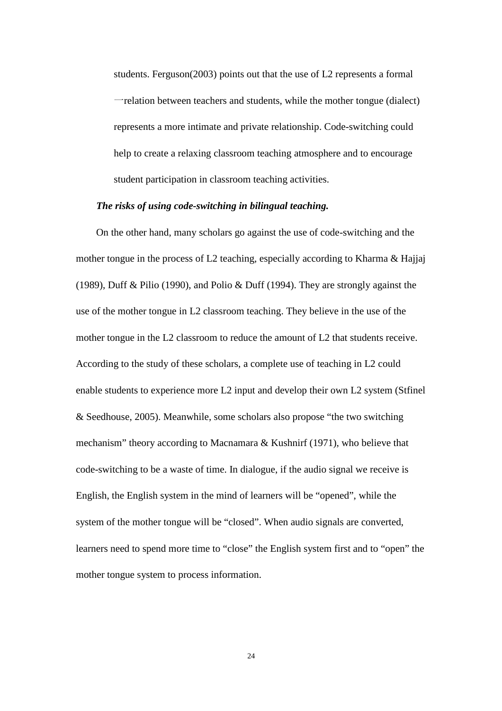students. Ferguson(2003) points out that the use of L2 represents a formal 一relation between teachers and students, while the mother tongue (dialect) represents a more intimate and private relationship. Code-switching could help to create a relaxing classroom teaching atmosphere and to encourage student participation in classroom teaching activities.

#### *The risks of using code-switching in bilingual teaching.*

On the other hand, many scholars go against the use of code-switching and the mother tongue in the process of L2 teaching, especially according to Kharma & Hajjaj (1989), Duff & Pilio (1990), and Polio & Duff (1994). They are strongly against the use of the mother tongue in L2 classroom teaching. They believe in the use of the mother tongue in the L2 classroom to reduce the amount of L2 that students receive. According to the study of these scholars, a complete use of teaching in L2 could enable students to experience more L2 input and develop their own L2 system (Stfinel & Seedhouse, 2005). Meanwhile, some scholars also propose "the two switching mechanism" theory according to Macnamara & Kushnirf (1971), who believe that code-switching to be a waste of time. In dialogue, if the audio signal we receive is English, the English system in the mind of learners will be "opened", while the system of the mother tongue will be "closed". When audio signals are converted, learners need to spend more time to "close" the English system first and to "open" the mother tongue system to process information.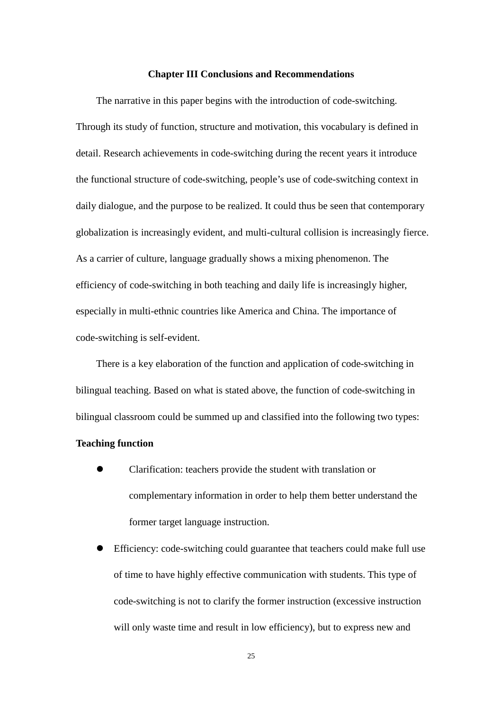#### **Chapter III Conclusions and Recommendations**

The narrative in this paper begins with the introduction of code-switching. Through its study of function, structure and motivation, this vocabulary is defined in detail. Research achievements in code-switching during the recent years it introduce the functional structure of code-switching, people's use of code-switching context in daily dialogue, and the purpose to be realized. It could thus be seen that contemporary globalization is increasingly evident, and multi-cultural collision is increasingly fierce. As a carrier of culture, language gradually shows a mixing phenomenon. The efficiency of code-switching in both teaching and daily life is increasingly higher, especially in multi-ethnic countries like America and China. The importance of code-switching is self-evident.

There is a key elaboration of the function and application of code-switching in bilingual teaching. Based on what is stated above, the function of code-switching in bilingual classroom could be summed up and classified into the following two types:

#### **Teaching function**

- Clarification: teachers provide the student with translation or complementary information in order to help them better understand the former target language instruction.
- Efficiency: code-switching could guarantee that teachers could make full use of time to have highly effective communication with students. This type of code-switching is not to clarify the former instruction (excessive instruction will only waste time and result in low efficiency), but to express new and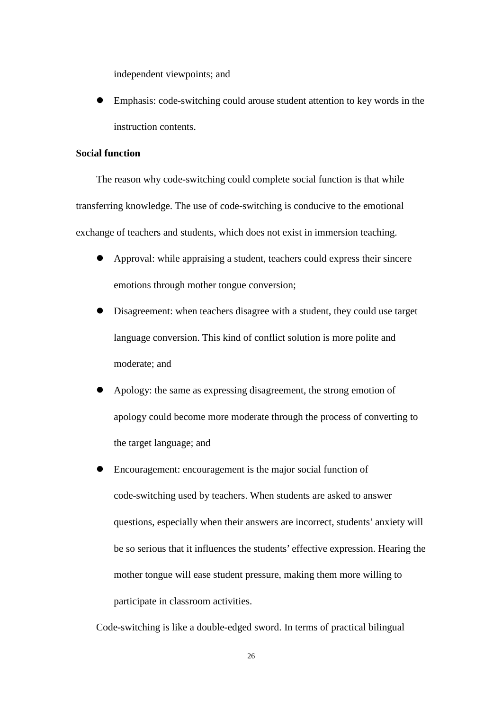independent viewpoints; and

 Emphasis: code-switching could arouse student attention to key words in the instruction contents.

# **Social function**

The reason why code-switching could complete social function is that while transferring knowledge. The use of code-switching is conducive to the emotional exchange of teachers and students, which does not exist in immersion teaching.

- Approval: while appraising a student, teachers could express their sincere emotions through mother tongue conversion;
- Disagreement: when teachers disagree with a student, they could use target language conversion. This kind of conflict solution is more polite and moderate; and
- Apology: the same as expressing disagreement, the strong emotion of apology could become more moderate through the process of converting to the target language; and
- Encouragement: encouragement is the major social function of code-switching used by teachers. When students are asked to answer questions, especially when their answers are incorrect, students' anxiety will be so serious that it influences the students' effective expression. Hearing the mother tongue will ease student pressure, making them more willing to participate in classroom activities.

Code-switching is like a double-edged sword. In terms of practical bilingual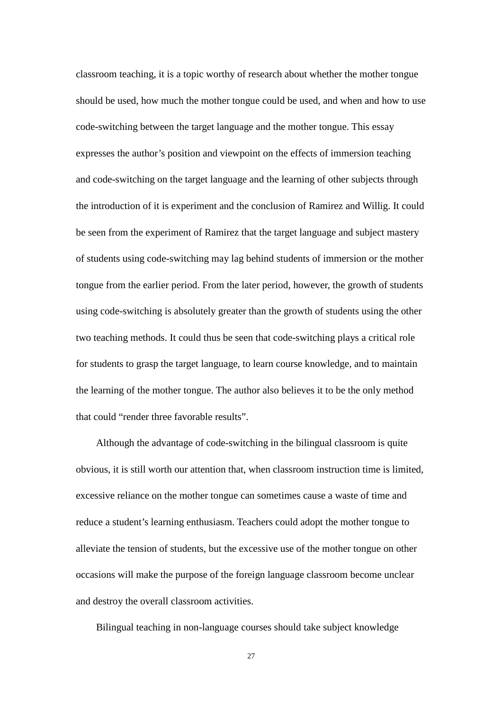classroom teaching, it is a topic worthy of research about whether the mother tongue should be used, how much the mother tongue could be used, and when and how to use code-switching between the target language and the mother tongue. This essay expresses the author's position and viewpoint on the effects of immersion teaching and code-switching on the target language and the learning of other subjects through the introduction of it is experiment and the conclusion of Ramirez and Willig. It could be seen from the experiment of Ramirez that the target language and subject mastery of students using code-switching may lag behind students of immersion or the mother tongue from the earlier period. From the later period, however, the growth of students using code-switching is absolutely greater than the growth of students using the other two teaching methods. It could thus be seen that code-switching plays a critical role for students to grasp the target language, to learn course knowledge, and to maintain the learning of the mother tongue. The author also believes it to be the only method that could "render three favorable results".

Although the advantage of code-switching in the bilingual classroom is quite obvious, it is still worth our attention that, when classroom instruction time is limited, excessive reliance on the mother tongue can sometimes cause a waste of time and reduce a student's learning enthusiasm. Teachers could adopt the mother tongue to alleviate the tension of students, but the excessive use of the mother tongue on other occasions will make the purpose of the foreign language classroom become unclear and destroy the overall classroom activities.

Bilingual teaching in non-language courses should take subject knowledge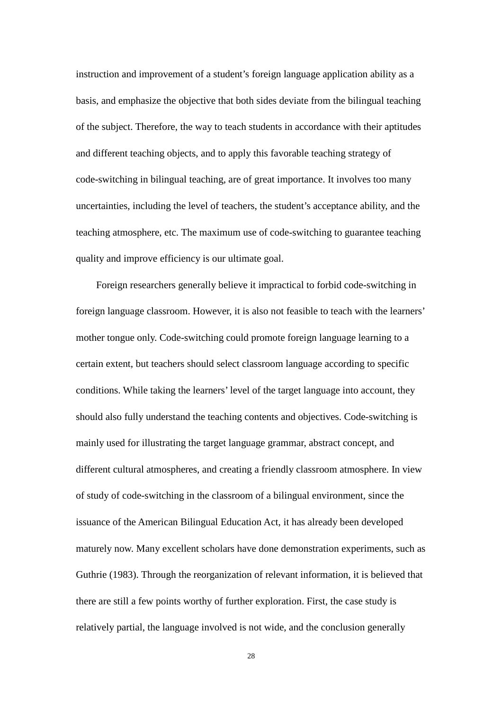instruction and improvement of a student's foreign language application ability as a basis, and emphasize the objective that both sides deviate from the bilingual teaching of the subject. Therefore, the way to teach students in accordance with their aptitudes and different teaching objects, and to apply this favorable teaching strategy of code-switching in bilingual teaching, are of great importance. It involves too many uncertainties, including the level of teachers, the student's acceptance ability, and the teaching atmosphere, etc. The maximum use of code-switching to guarantee teaching quality and improve efficiency is our ultimate goal.

Foreign researchers generally believe it impractical to forbid code-switching in foreign language classroom. However, it is also not feasible to teach with the learners' mother tongue only. Code-switching could promote foreign language learning to a certain extent, but teachers should select classroom language according to specific conditions. While taking the learners' level of the target language into account, they should also fully understand the teaching contents and objectives. Code-switching is mainly used for illustrating the target language grammar, abstract concept, and different cultural atmospheres, and creating a friendly classroom atmosphere. In view of study of code-switching in the classroom of a bilingual environment, since the issuance of the American Bilingual Education Act, it has already been developed maturely now. Many excellent scholars have done demonstration experiments, such as Guthrie (1983). Through the reorganization of relevant information, it is believed that there are still a few points worthy of further exploration. First, the case study is relatively partial, the language involved is not wide, and the conclusion generally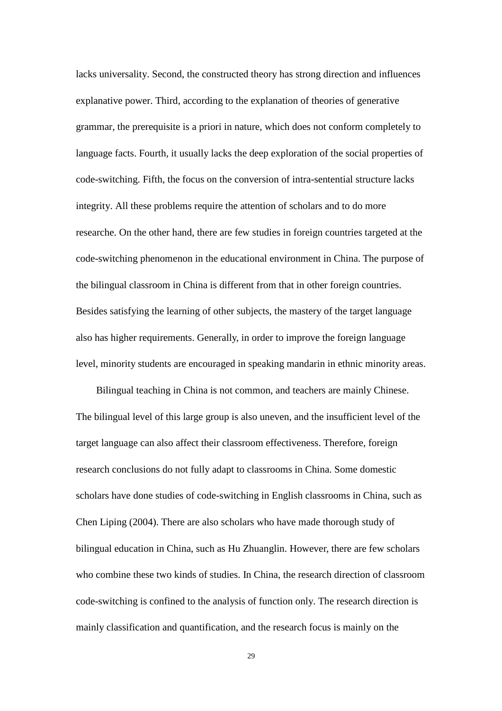lacks universality. Second, the constructed theory has strong direction and influences explanative power. Third, according to the explanation of theories of generative grammar, the prerequisite is a priori in nature, which does not conform completely to language facts. Fourth, it usually lacks the deep exploration of the social properties of code-switching. Fifth, the focus on the conversion of intra-sentential structure lacks integrity. All these problems require the attention of scholars and to do more researche. On the other hand, there are few studies in foreign countries targeted at the code-switching phenomenon in the educational environment in China. The purpose of the bilingual classroom in China is different from that in other foreign countries. Besides satisfying the learning of other subjects, the mastery of the target language also has higher requirements. Generally, in order to improve the foreign language level, minority students are encouraged in speaking mandarin in ethnic minority areas.

Bilingual teaching in China is not common, and teachers are mainly Chinese. The bilingual level of this large group is also uneven, and the insufficient level of the target language can also affect their classroom effectiveness. Therefore, foreign research conclusions do not fully adapt to classrooms in China. Some domestic scholars have done studies of code-switching in English classrooms in China, such as Chen Liping (2004). There are also scholars who have made thorough study of bilingual education in China, such as Hu Zhuanglin. However, there are few scholars who combine these two kinds of studies. In China, the research direction of classroom code-switching is confined to the analysis of function only. The research direction is mainly classification and quantification, and the research focus is mainly on the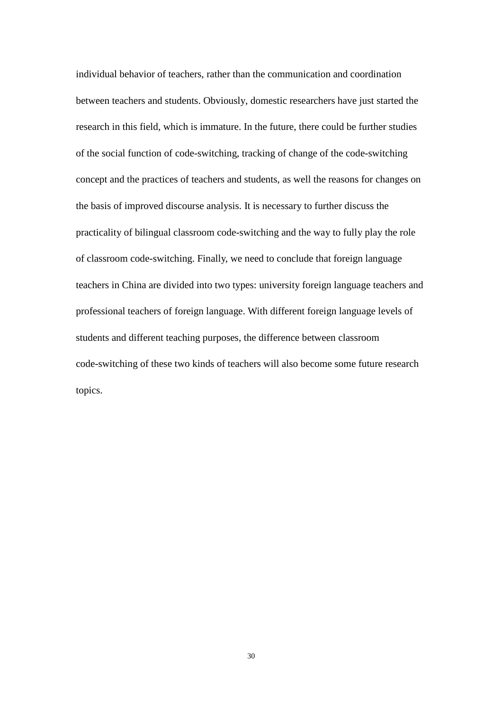individual behavior of teachers, rather than the communication and coordination between teachers and students. Obviously, domestic researchers have just started the research in this field, which is immature. In the future, there could be further studies of the social function of code-switching, tracking of change of the code-switching concept and the practices of teachers and students, as well the reasons for changes on the basis of improved discourse analysis. It is necessary to further discuss the practicality of bilingual classroom code-switching and the way to fully play the role of classroom code-switching. Finally, we need to conclude that foreign language teachers in China are divided into two types: university foreign language teachers and professional teachers of foreign language. With different foreign language levels of students and different teaching purposes, the difference between classroom code-switching of these two kinds of teachers will also become some future research topics.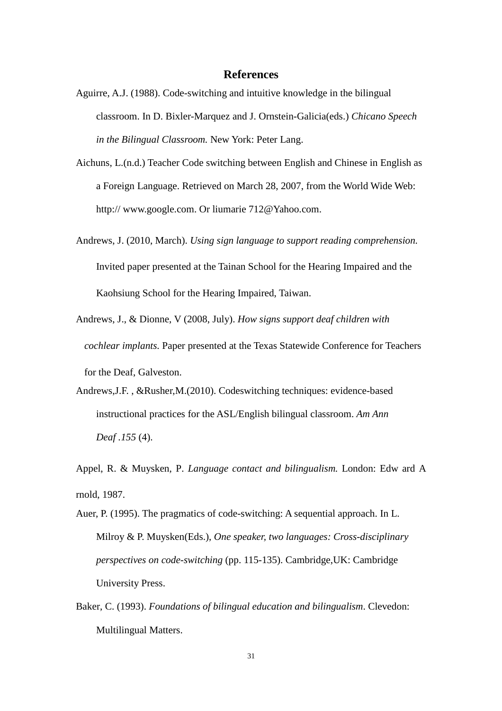# **References**

- Aguirre, A.J. (1988). Code-switching and intuitive knowledge in the bilingual classroom. In D. Bixler-Marquez and J. Ornstein-Galicia(eds.) *Chicano Speech in the Bilingual Classroom.* New York: Peter Lang.
- Aichuns, L.(n.d.) Teacher Code switching between English and Chinese in English as a Foreign Language. Retrieved on March 28, 2007, from the World Wide Web: http:// www.google.com. Or liumarie 712@Yahoo.com.
- Andrews, J. (2010, March). *Using sign language to support reading comprehension.*  Invited paper presented at the Tainan School for the Hearing Impaired and the Kaohsiung School for the Hearing Impaired, Taiwan.
- Andrews, J., & Dionne, V (2008, July). *How signs support deaf children with cochlear implants.* Paper presented at the Texas Statewide Conference for Teachers for the Deaf, Galveston.
- Andrews,J.F. , &Rusher,M.(2010). Codeswitching techniques: evidence-based instructional practices for the ASL/English bilingual classroom. *Am Ann Deaf .155* (4).

Appel, R. & Muysken, P. *Language contact and bilingualism.* London: Edw ard A rnold, 1987.

Auer, P. (1995). The pragmatics of code-switching: A sequential approach. In L. Milroy & P. Muysken(Eds.), *One speaker, two languages: Cross-disciplinary perspectives on code-switching* (pp. 115-135). Cambridge,UK: Cambridge University Press.

Baker, C. (1993). *Foundations of bilingual education and bilingualism*. Clevedon: Multilingual Matters.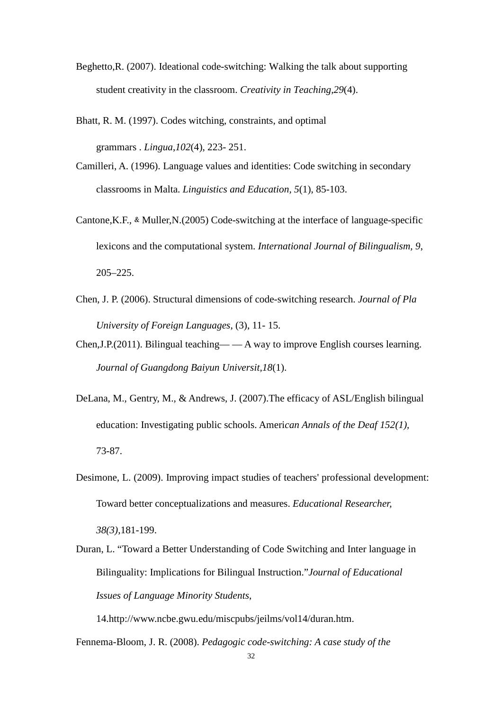- Beghetto,R. (2007). Ideational code-switching: Walking the talk about supporting student creativity in the classroom. *Creativity in Teaching,29*(4).
- Bhatt, R. M. (1997). Codes witching, constraints, and optimal

grammars . *Lingua*,*102*(4), 223- 251.

- Camilleri, A. (1996). Language values and identities: Code switching in secondary classrooms in Malta. *Linguistics and Education, 5*(1), 85-103.
- Cantone, K.F., & Muller,  $N.$  (2005) Code-switching at the interface of language-specific lexicons and the computational system. *International Journal of Bilingualism, 9*, 205–225.
- Chen, J. P. (2006). Structural dimensions of code-switching research. *Journal of Pla University of Foreign Languages*, (3), 11- 15.
- Chen,J.P.(2011). Bilingual teaching— A way to improve English courses learning. *Journal of Guangdong Baiyun Universit,18*(1).
- DeLana, M., Gentry, M., & Andrews, J. (2007).The efficacy of ASL/English bilingual education: Investigating public schools. Ameri*can Annals of the Deaf 152(1),*  73-87.
- Desimone, L. (2009). Improving impact studies of teachers' professional development: Toward better conceptualizations and measures. *Educational Researcher,*

*38(3),*181-199.

Duran, L. "Toward a Better Understanding of Code Switching and Inter language in Bilinguality: Implications for Bilingual Instruction."*Journal of Educational Issues of Language Minority Students*,

14.http://www.ncbe.gwu.edu/miscpubs/jeilms/vol14/duran.htm.

Fennema-Bloom, J. R. (2008). *Pedagogic code-switching: A case study of the*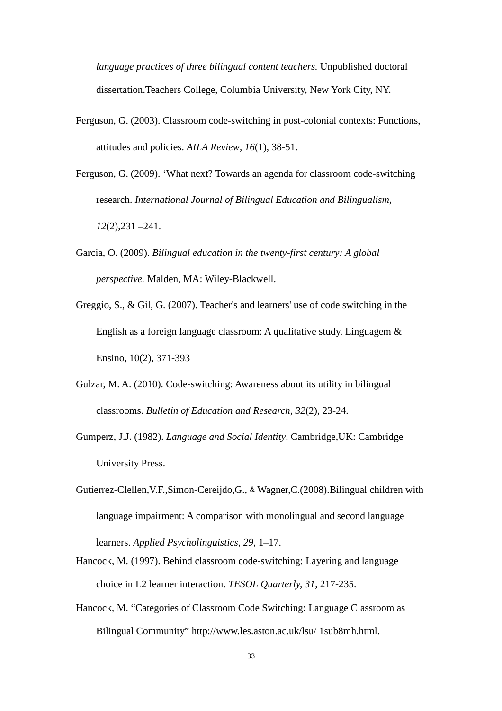*language practices of three bilingual content teachers.* Unpublished doctoral dissertation.Teachers College, Columbia University, New York City, NY.

- Ferguson, G. (2003). Classroom code-switching in post-colonial contexts: Functions, attitudes and policies. *AILA Review*, *16*(1), 38-51.
- Ferguson, G. (2009). 'What next? Towards an agenda for classroom code-switching research. *International Journal of Bilingual Education and Bilingualism*, *12*(2),231 –241.
- Garcia, O**.** (2009). *Bilingual education in the twenty-first century: A global perspective.* Malden, MA: Wiley-Blackwell.
- Greggio, S., & Gil, G. (2007). Teacher's and learners' use of code switching in the English as a foreign language classroom: A qualitative study. Linguagem & Ensino, 10(2), 371-393
- Gulzar, M. A. (2010). Code-switching: Awareness about its utility in bilingual classrooms. *Bulletin of Education and Research*, *32*(2), 23-24.
- Gumperz, J.J. (1982). *Language and Social Identity*. Cambridge,UK: Cambridge University Press.
- Gutierrez-Clellen, V.F., Simon-Cereijdo, G., & Wagner, C. (2008). Bilingual children with language impairment: A comparison with monolingual and second language learners. *Applied Psycholinguistics, 29,* 1–17.
- Hancock, M. (1997). Behind classroom code-switching: Layering and language choice in L2 learner interaction. *TESOL Quarterly, 31,* 217-235.
- Hancock, M. "Categories of Classroom Code Switching: Language Classroom as Bilingual Community" http://www.les.aston.ac.uk/lsu/ 1sub8mh.html.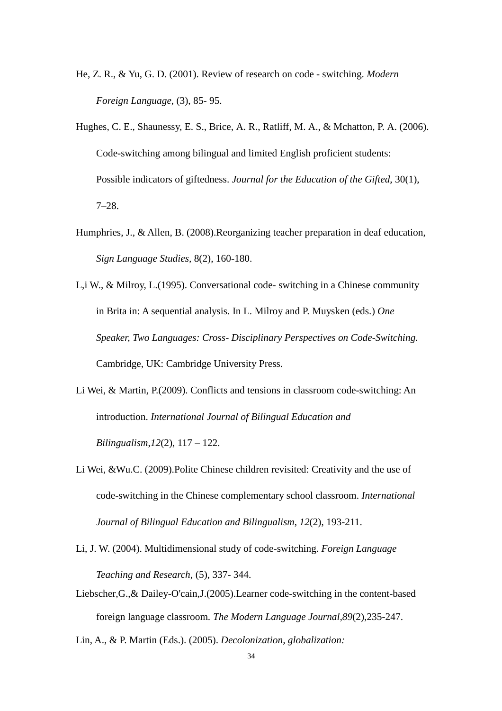- He, Z. R., & Yu, G. D. (2001). Review of research on code switching. *Modern Foreign Language*, (3), 85- 95.
- Hughes, C. E., Shaunessy, E. S., Brice, A. R., Ratliff, M. A., & Mchatton, P. A. (2006). Code-switching among bilingual and limited English proficient students: Possible indicators of giftedness. *Journal for the Education of the Gifted*, 30(1), 7–28.
- Humphries, J., & Allen, B. (2008).Reorganizing teacher preparation in deaf education, *Sign Language Studies,* 8(2), 160-180.
- L,i W., & Milroy, L.(1995). Conversational code- switching in a Chinese community in Brita in: A sequential analysis. In L. Milroy and P. Muysken (eds.) *One Speaker, Two Languages: Cross- Disciplinary Perspectives on Code-Switching.*  Cambridge, UK: Cambridge University Press.
- Li Wei, & Martin, P.(2009). Conflicts and tensions in classroom code-switching: An introduction. *International Journal of Bilingual Education and Bilingualism*,*12*(2), 117 – 122.
- Li Wei, &Wu.C. (2009).Polite Chinese children revisited: Creativity and the use of code-switching in the Chinese complementary school classroom. *International Journal of Bilingual Education and Bilingualism*, *12*(2), 193-211.
- Li, J. W. (2004). Multidimensional study of code-switching. *Foreign Language Teaching and Research*, (5), 337- 344.
- Liebscher,G.,& Dailey-O'cain,J.(2005).Learner code-switching in the content-based foreign language classroom*. The Modern Language Journal,89*(2),235-247.
- Lin, A., & P. Martin (Eds.). (2005). *Decolonization, globalization:*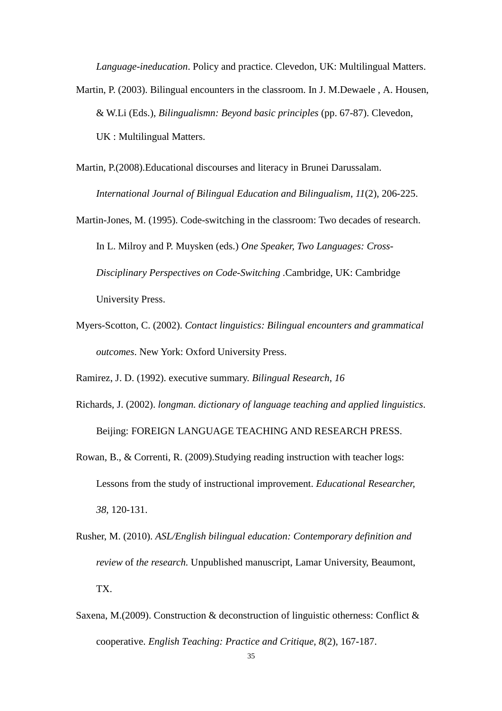*Language-ineducation*. Policy and practice. Clevedon, UK: Multilingual Matters.

- Martin, P. (2003). Bilingual encounters in the classroom. In J. M.Dewaele , A. Housen, & W.Li (Eds.), *Bilingualismn: Beyond basic principles* (pp. 67-87). Clevedon, UK : Multilingual Matters.
- Martin, P.(2008).Educational discourses and literacy in Brunei Darussalam. *International Journal of Bilingual Education and Bilingualism*, *11*(2), 206-225.
- Martin-Jones, M. (1995). Code-switching in the classroom: Two decades of research. In L. Milroy and P. Muysken (eds.) *One Speaker, Two Languages: Cross-Disciplinary Perspectives on Code-Switching .*Cambridge, UK: Cambridge University Press.
- Myers-Scotton, C. (2002). *Contact linguistics: Bilingual encounters and grammatical outcomes*. New York: Oxford University Press.
- Ramirez, J. D. (1992). executive summary. *Bilingual Research*, *16*
- Richards, J. (2002). *longman. dictionary of language teaching and applied linguistics*. Beijing: FOREIGN LANGUAGE TEACHING AND RESEARCH PRESS.
- Rowan, B., & Correnti, R. (2009).Studying reading instruction with teacher logs: Lessons from the study of instructional improvement. *Educational Researcher, 38,* 120-131.
- Rusher, M. (2010). *ASL/English bilingual education: Contemporary definition and review* of *the research.* Unpublished manuscript, Lamar University, Beaumont, TX.
- Saxena, M.(2009). Construction & deconstruction of linguistic otherness: Conflict & cooperative. *English Teaching: Practice and Critique*, *8*(2), 167-187.